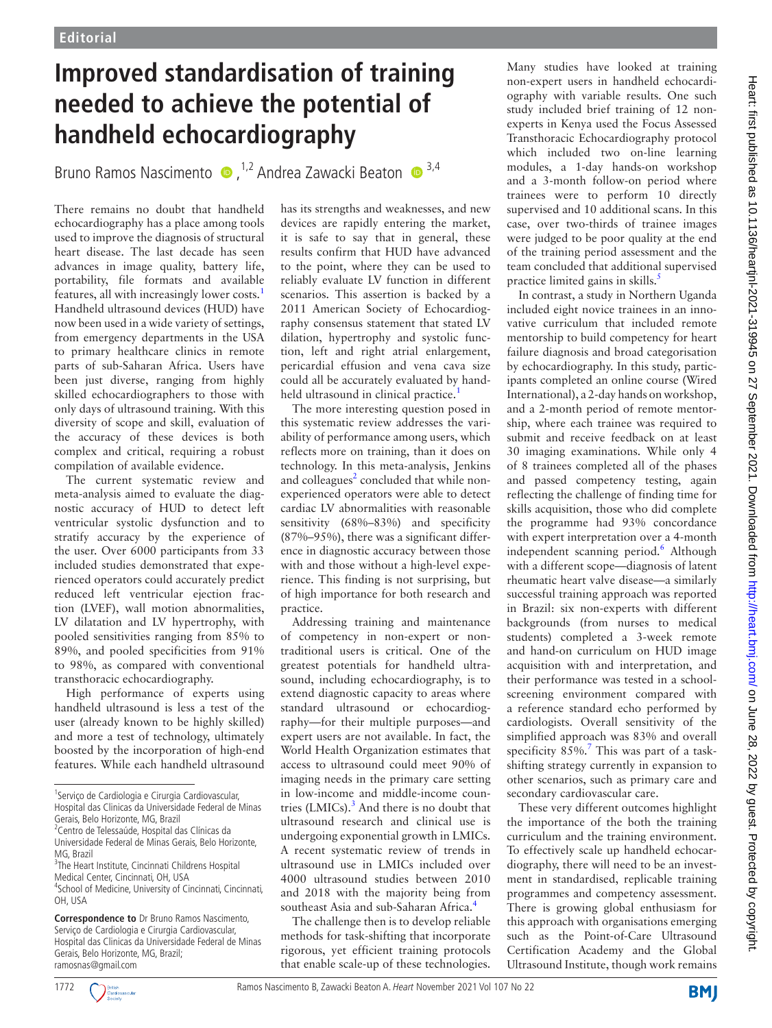## **Improved standardisation of training needed to achieve the potential of handheld echocardiography**

Bruno Ramos Nascimento  $\bullet$ , <sup>1,2</sup> Andrea Zawacki Beaton  $\bullet$ <sup>3,4</sup>

There remains no doubt that handheld echocardiography has a place among tools used to improve the diagnosis of structural heart disease. The last decade has seen advances in image quality, battery life, portability, file formats and available features, all with increasingly lower costs.[1](#page-1-0) Handheld ultrasound devices (HUD) have now been used in a wide variety of settings, from emergency departments in the USA to primary healthcare clinics in remote parts of sub-Saharan Africa. Users have been just diverse, ranging from highly skilled echocardiographers to those with only days of ultrasound training. With this diversity of scope and skill, evaluation of the accuracy of these devices is both complex and critical, requiring a robust compilation of available evidence.

The current systematic review and meta-analysis aimed to evaluate the diagnostic accuracy of HUD to detect left ventricular systolic dysfunction and to stratify accuracy by the experience of the user. Over 6000 participants from 33 included studies demonstrated that experienced operators could accurately predict reduced left ventricular ejection fraction (LVEF), wall motion abnormalities, LV dilatation and LV hypertrophy, with pooled sensitivities ranging from 85% to 89%, and pooled specificities from 91% to 98%, as compared with conventional transthoracic echocardiography.

High performance of experts using handheld ultrasound is less a test of the user (already known to be highly skilled) and more a test of technology, ultimately boosted by the incorporation of high-end features. While each handheld ultrasound

<sup>2</sup> Centro de Telessaúde, Hospital das Clínicas da Universidade Federal de Minas Gerais, Belo Horizonte, MG, Brazil

has its strengths and weaknesses, and new devices are rapidly entering the market, it is safe to say that in general, these results confirm that HUD have advanced to the point, where they can be used to reliably evaluate LV function in different scenarios. This assertion is backed by a 2011 American Society of Echocardiography consensus statement that stated LV dilation, hypertrophy and systolic function, left and right atrial enlargement, pericardial effusion and vena cava size could all be accurately evaluated by handheld ultrasound in clinical practice.<sup>1</sup>

The more interesting question posed in this systematic review addresses the variability of performance among users, which reflects more on training, than it does on technology. In this meta-analysis, Jenkins and colleagues<sup>2</sup> concluded that while nonexperienced operators were able to detect cardiac LV abnormalities with reasonable sensitivity (68%–83%) and specificity (87%–95%), there was a significant difference in diagnostic accuracy between those with and those without a high-level experience. This finding is not surprising, but of high importance for both research and practice.

Addressing training and maintenance of competency in non-expert or nontraditional users is critical. One of the greatest potentials for handheld ultrasound, including echocardiography, is to extend diagnostic capacity to areas where standard ultrasound or echocardiography—for their multiple purposes—and expert users are not available. In fact, the World Health Organization estimates that access to ultrasound could meet 90% of imaging needs in the primary care setting in low-income and middle-income countries (LMICs). $3$  And there is no doubt that ultrasound research and clinical use is undergoing exponential growth in LMICs. A recent systematic review of trends in ultrasound use in LMICs included over 4000 ultrasound studies between 2010 and 2018 with the majority being from southeast Asia and sub-Saharan Africa.<sup>[4](#page-1-3)</sup>

The challenge then is to develop reliable methods for task-shifting that incorporate rigorous, yet efficient training protocols that enable scale-up of these technologies. Many studies have looked at training non-expert users in handheld echocardiography with variable results. One such study included brief training of 12 nonexperts in Kenya used the Focus Assessed Transthoracic Echocardiography protocol which included two on-line learning modules, a 1-day hands-on workshop and a 3-month follow-on period where trainees were to perform 10 directly supervised and 10 additional scans. In this case, over two-thirds of trainee images were judged to be poor quality at the end of the training period assessment and the team concluded that additional supervised practice limited gains in skills. $\frac{5}{1}$ 

In contrast, a study in Northern Uganda included eight novice trainees in an innovative curriculum that included remote mentorship to build competency for heart failure diagnosis and broad categorisation by echocardiography. In this study, participants completed an online course (Wired International), a 2-day hands on workshop, and a 2-month period of remote mentorship, where each trainee was required to submit and receive feedback on at least 30 imaging examinations. While only 4 of 8 trainees completed all of the phases and passed competency testing, again reflecting the challenge of finding time for skills acquisition, those who did complete the programme had 93% concordance with expert interpretation over a 4-month independent scanning period.<sup>[6](#page-1-5)</sup> Although with a different scope—diagnosis of latent rheumatic heart valve disease—a similarly successful training approach was reported in Brazil: six non-experts with different backgrounds (from nurses to medical students) completed a 3-week remote and hand-on curriculum on HUD image acquisition with and interpretation, and their performance was tested in a schoolscreening environment compared with a reference standard echo performed by cardiologists. Overall sensitivity of the simplified approach was 83% and overall specificity  $85\%$ .<sup>7</sup> This was part of a taskshifting strategy currently in expansion to other scenarios, such as primary care and secondary cardiovascular care.

These very different outcomes highlight the importance of the both the training curriculum and the training environment. To effectively scale up handheld echocardiography, there will need to be an investment in standardised, replicable training programmes and competency assessment. There is growing global enthusiasm for this approach with organisations emerging such as the Point-of-Care Ultrasound Certification Academy and the Global Ultrasound Institute, though work remains



<sup>&</sup>lt;sup>1</sup>Serviço de Cardiologia e Cirurgia Cardiovascular, Hospital das Clinicas da Universidade Federal de Minas Gerais, Belo Horizonte, MG, Brazil

<sup>&</sup>lt;sup>3</sup>The Heart Institute, Cincinnati Childrens Hospital Medical Center, Cincinnati, OH, USA

<sup>4</sup> School of Medicine, University of Cincinnati, Cincinnati, OH, USA

**Correspondence to** Dr Bruno Ramos Nascimento, Serviço de Cardiologia e Cirurgia Cardiovascular, Hospital das Clinicas da Universidade Federal de Minas Gerais, Belo Horizonte, MG, Brazil; ramosnas@gmail.com